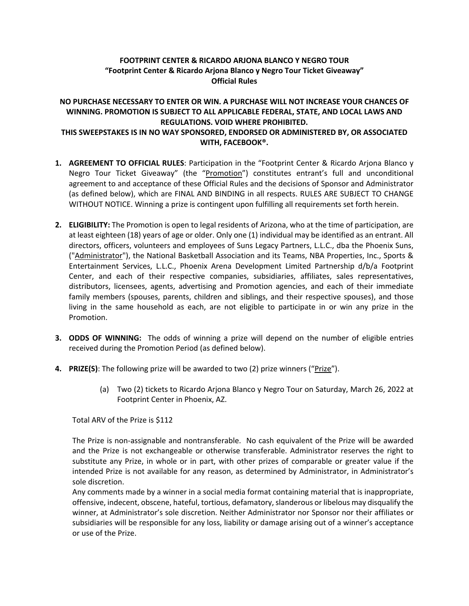## **FOOTPRINT CENTER & RICARDO ARJONA BLANCO Y NEGRO TOUR "Footprint Center & Ricardo Arjona Blanco y Negro Tour Ticket Giveaway" Official Rules**

## **NO PURCHASE NECESSARY TO ENTER OR WIN. A PURCHASE WILL NOT INCREASE YOUR CHANCES OF WINNING. PROMOTION IS SUBJECT TO ALL APPLICABLE FEDERAL, STATE, AND LOCAL LAWS AND REGULATIONS. VOID WHERE PROHIBITED. THIS SWEEPSTAKES IS IN NO WAY SPONSORED, ENDORSED OR ADMINISTERED BY, OR ASSOCIATED WITH, FACEBOOK®.**

- **1. AGREEMENT TO OFFICIAL RULES**: Participation in the "Footprint Center & Ricardo Arjona Blanco y Negro Tour Ticket Giveaway" (the "Promotion") constitutes entrant's full and unconditional agreement to and acceptance of these Official Rules and the decisions of Sponsor and Administrator (as defined below), which are FINAL AND BINDING in all respects. RULES ARE SUBJECT TO CHANGE WITHOUT NOTICE. Winning a prize is contingent upon fulfilling all requirements set forth herein.
- **2. ELIGIBILITY:** The Promotion is open to legal residents of Arizona, who at the time of participation, are at least eighteen (18) years of age or older. Only one (1) individual may be identified as an entrant. All directors, officers, volunteers and employees of Suns Legacy Partners, L.L.C., dba the Phoenix Suns, ("Administrator"), the National Basketball Association and its Teams, NBA Properties, Inc., Sports & Entertainment Services, L.L.C., Phoenix Arena Development Limited Partnership d/b/a Footprint Center, and each of their respective companies, subsidiaries, affiliates, sales representatives, distributors, licensees, agents, advertising and Promotion agencies, and each of their immediate family members (spouses, parents, children and siblings, and their respective spouses), and those living in the same household as each, are not eligible to participate in or win any prize in the Promotion.
- **3. ODDS OF WINNING:** The odds of winning a prize will depend on the number of eligible entries received during the Promotion Period (as defined below).
- **4. PRIZE(S)**: The following prize will be awarded to two (2) prize winners ("Prize").
	- (a) Two (2) tickets to Ricardo Arjona Blanco y Negro Tour on Saturday, March 26, 2022 at Footprint Center in Phoenix, AZ.

Total ARV of the Prize is \$112

The Prize is non-assignable and nontransferable. No cash equivalent of the Prize will be awarded and the Prize is not exchangeable or otherwise transferable. Administrator reserves the right to substitute any Prize, in whole or in part, with other prizes of comparable or greater value if the intended Prize is not available for any reason, as determined by Administrator, in Administrator's sole discretion.

Any comments made by a winner in a social media format containing material that is inappropriate, offensive, indecent, obscene, hateful, tortious, defamatory, slanderous or libelous may disqualify the winner, at Administrator's sole discretion. Neither Administrator nor Sponsor nor their affiliates or subsidiaries will be responsible for any loss, liability or damage arising out of a winner's acceptance or use of the Prize.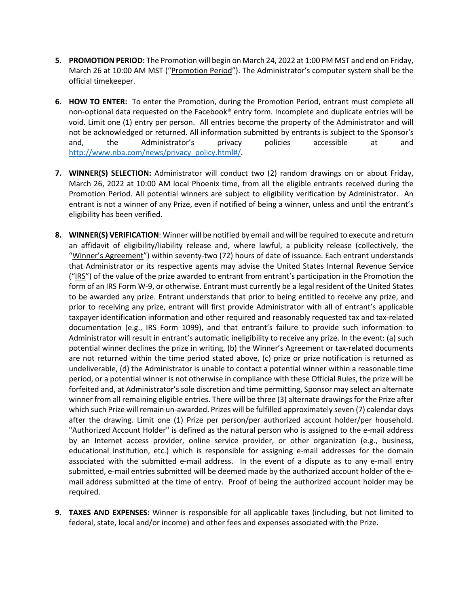- **5. PROMOTION PERIOD:** The Promotion will begin on March 24, 2022 at 1:00 PM MST and end on Friday, March 26 at 10:00 AM MST ("Promotion Period"). The Administrator's computer system shall be the official timekeeper.
- **6. HOW TO ENTER:** To enter the Promotion, during the Promotion Period, entrant must complete all non-optional data requested on the Facebook® entry form. Incomplete and duplicate entries will be void. Limit one (1) entry per person. All entries become the property of the Administrator and will not be acknowledged or returned. All information submitted by entrants is subject to the Sponsor's and, the Administrator's privacy policies accessible at and http://www.nba.com/news/privacy\_policy.html#/.
- **7. WINNER(S) SELECTION:** Administrator will conduct two (2) random drawings on or about Friday, March 26, 2022 at 10:00 AM local Phoenix time, from all the eligible entrants received during the Promotion Period. All potential winners are subject to eligibility verification by Administrator. An entrant is not a winner of any Prize, even if notified of being a winner, unless and until the entrant's eligibility has been verified.
- **8. WINNER(S) VERIFICATION**: Winner will be notified by email and will be required to execute and return an affidavit of eligibility/liability release and, where lawful, a publicity release (collectively, the "Winner's Agreement") within seventy-two (72) hours of date of issuance. Each entrant understands that Administrator or its respective agents may advise the United States Internal Revenue Service ("IRS") of the value of the prize awarded to entrant from entrant's participation in the Promotion the form of an IRS Form W-9, or otherwise. Entrant must currently be a legal resident of the United States to be awarded any prize. Entrant understands that prior to being entitled to receive any prize, and prior to receiving any prize, entrant will first provide Administrator with all of entrant's applicable taxpayer identification information and other required and reasonably requested tax and tax-related documentation (e.g., IRS Form 1099), and that entrant's failure to provide such information to Administrator will result in entrant's automatic ineligibility to receive any prize. In the event: (a) such potential winner declines the prize in writing, (b) the Winner's Agreement or tax-related documents are not returned within the time period stated above, (c) prize or prize notification is returned as undeliverable, (d) the Administrator is unable to contact a potential winner within a reasonable time period, or a potential winner is not otherwise in compliance with these Official Rules, the prize will be forfeited and, at Administrator's sole discretion and time permitting, Sponsor may select an alternate winner from all remaining eligible entries. There will be three (3) alternate drawings for the Prize after which such Prize will remain un-awarded. Prizes will be fulfilled approximately seven (7) calendar days after the drawing. Limit one (1) Prize per person/per authorized account holder/per household. "Authorized Account Holder" is defined as the natural person who is assigned to the e-mail address by an Internet access provider, online service provider, or other organization (e.g., business, educational institution, etc.) which is responsible for assigning e-mail addresses for the domain associated with the submitted e-mail address. In the event of a dispute as to any e-mail entry submitted, e-mail entries submitted will be deemed made by the authorized account holder of the email address submitted at the time of entry. Proof of being the authorized account holder may be required.
- **9. TAXES AND EXPENSES:** Winner is responsible for all applicable taxes (including, but not limited to federal, state, local and/or income) and other fees and expenses associated with the Prize.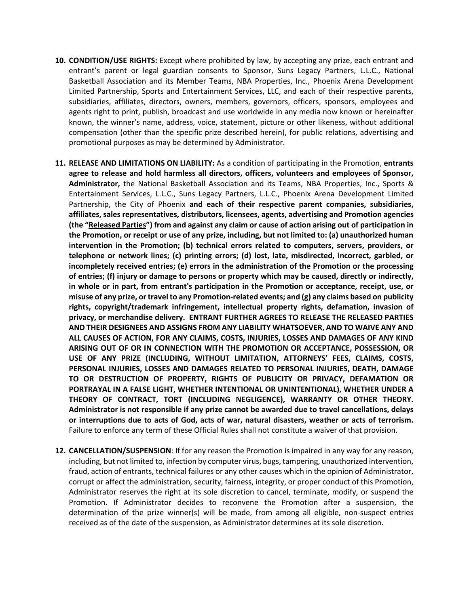- **10. CONDITION/USE RIGHTS:** Except where prohibited by law, by accepting any prize, each entrant and entrant's parent or legal guardian consents to Sponsor, Suns Legacy Partners, L.L.C., National Basketball Association and its Member Teams, NBA Properties, Inc., Phoenix Arena Development Limited Partnership, Sports and Entertainment Services, LLC, and each of their respective parents, subsidiaries, affiliates, directors, owners, members, governors, officers, sponsors, employees and agents right to print, publish, broadcast and use worldwide in any media now known or hereinafter known, the winner's name, address, voice, statement, picture or other likeness, without additional compensation (other than the specific prize described herein), for public relations, advertising and promotional purposes as may be determined by Administrator.
- **11. RELEASE AND LIMITATIONS ON LIABILITY:** As a condition of participating in the Promotion, **entrants agree to release and hold harmless all directors, officers, volunteers and employees of Sponsor, Administrator,** the National Basketball Association and its Teams, NBA Properties, Inc., Sports & Entertainment Services, L.L.C., Suns Legacy Partners, L.L.C., Phoenix Arena Development Limited Partnership, the City of Phoenix **and each of their respective parent companies, subsidiaries, affiliates, sales representatives, distributors, licensees, agents, advertising and Promotion agencies (the "Released Parties") from and against any claim or cause of action arising out of participation in the Promotion, or receipt or use of any prize, including, but not limited to: (a) unauthorized human intervention in the Promotion; (b) technical errors related to computers, servers, providers, or telephone or network lines; (c) printing errors; (d) lost, late, misdirected, incorrect, garbled, or incompletely received entries; (e) errors in the administration of the Promotion or the processing of entries; (f) injury or damage to persons or property which may be caused, directly or indirectly, in whole or in part, from entrant's participation in the Promotion or acceptance, receipt, use, or misuse of any prize, or travel to any Promotion-related events; and (g) any claims based on publicity rights, copyright/trademark infringement, intellectual property rights, defamation, invasion of privacy, or merchandise delivery. ENTRANT FURTHER AGREES TO RELEASE THE RELEASED PARTIES AND THEIR DESIGNEES AND ASSIGNS FROM ANY LIABILITY WHATSOEVER, AND TO WAIVE ANY AND ALL CAUSES OF ACTION, FOR ANY CLAIMS, COSTS, INJURIES, LOSSES AND DAMAGES OF ANY KIND ARISING OUT OF OR IN CONNECTION WITH THE PROMOTION OR ACCEPTANCE, POSSESSION, OR USE OF ANY PRIZE (INCLUDING, WITHOUT LIMITATION, ATTORNEYS' FEES, CLAIMS, COSTS, PERSONAL INJURIES, LOSSES AND DAMAGES RELATED TO PERSONAL INJURIES, DEATH, DAMAGE TO OR DESTRUCTION OF PROPERTY, RIGHTS OF PUBLICITY OR PRIVACY, DEFAMATION OR PORTRAYAL IN A FALSE LIGHT, WHETHER INTENTIONAL OR UNINTENTIONAL), WHETHER UNDER A THEORY OF CONTRACT, TORT (INCLUDING NEGLIGENCE), WARRANTY OR OTHER THEORY. Administrator is not responsible if any prize cannot be awarded due to travel cancellations, delays or interruptions due to acts of God, acts of war, natural disasters, weather or acts of terrorism.**  Failure to enforce any term of these Official Rules shall not constitute a waiver of that provision.
- **12. CANCELLATION/SUSPENSION**: If for any reason the Promotion is impaired in any way for any reason, including, but not limited to, infection by computer virus, bugs, tampering, unauthorized intervention, fraud, action of entrants, technical failures or any other causes which in the opinion of Administrator, corrupt or affect the administration, security, fairness, integrity, or proper conduct of this Promotion, Administrator reserves the right at its sole discretion to cancel, terminate, modify, or suspend the Promotion. If Administrator decides to reconvene the Promotion after a suspension, the determination of the prize winner(s) will be made, from among all eligible, non-suspect entries received as of the date of the suspension, as Administrator determines at its sole discretion.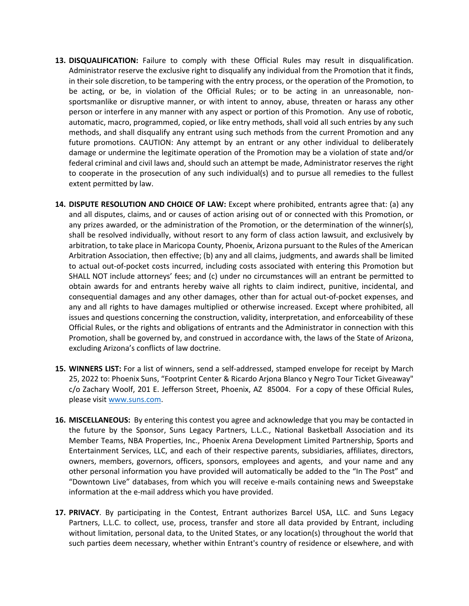- **13. DISQUALIFICATION:** Failure to comply with these Official Rules may result in disqualification. Administrator reserve the exclusive right to disqualify any individual from the Promotion that it finds, in their sole discretion, to be tampering with the entry process, or the operation of the Promotion, to be acting, or be, in violation of the Official Rules; or to be acting in an unreasonable, nonsportsmanlike or disruptive manner, or with intent to annoy, abuse, threaten or harass any other person or interfere in any manner with any aspect or portion of this Promotion. Any use of robotic, automatic, macro, programmed, copied, or like entry methods, shall void all such entries by any such methods, and shall disqualify any entrant using such methods from the current Promotion and any future promotions. CAUTION: Any attempt by an entrant or any other individual to deliberately damage or undermine the legitimate operation of the Promotion may be a violation of state and/or federal criminal and civil laws and, should such an attempt be made, Administrator reserves the right to cooperate in the prosecution of any such individual(s) and to pursue all remedies to the fullest extent permitted by law.
- **14. DISPUTE RESOLUTION AND CHOICE OF LAW:** Except where prohibited, entrants agree that: (a) any and all disputes, claims, and or causes of action arising out of or connected with this Promotion, or any prizes awarded, or the administration of the Promotion, or the determination of the winner(s), shall be resolved individually, without resort to any form of class action lawsuit, and exclusively by arbitration, to take place in Maricopa County, Phoenix, Arizona pursuant to the Rules of the American Arbitration Association, then effective; (b) any and all claims, judgments, and awards shall be limited to actual out-of-pocket costs incurred, including costs associated with entering this Promotion but SHALL NOT include attorneys' fees; and (c) under no circumstances will an entrant be permitted to obtain awards for and entrants hereby waive all rights to claim indirect, punitive, incidental, and consequential damages and any other damages, other than for actual out-of-pocket expenses, and any and all rights to have damages multiplied or otherwise increased. Except where prohibited, all issues and questions concerning the construction, validity, interpretation, and enforceability of these Official Rules, or the rights and obligations of entrants and the Administrator in connection with this Promotion, shall be governed by, and construed in accordance with, the laws of the State of Arizona, excluding Arizona's conflicts of law doctrine.
- **15. WINNERS LIST:** For a list of winners, send a self-addressed, stamped envelope for receipt by March 25, 2022 to: Phoenix Suns, "Footprint Center & Ricardo Arjona Blanco y Negro Tour Ticket Giveaway" c/o Zachary Woolf, 201 E. Jefferson Street, Phoenix, AZ 85004. For a copy of these Official Rules, please visit www.suns.com.
- **16. MISCELLANEOUS:** By entering this contest you agree and acknowledge that you may be contacted in the future by the Sponsor, Suns Legacy Partners, L.L.C., National Basketball Association and its Member Teams, NBA Properties, Inc., Phoenix Arena Development Limited Partnership, Sports and Entertainment Services, LLC, and each of their respective parents, subsidiaries, affiliates, directors, owners, members, governors, officers, sponsors, employees and agents, and your name and any other personal information you have provided will automatically be added to the "In The Post" and "Downtown Live" databases, from which you will receive e-mails containing news and Sweepstake information at the e-mail address which you have provided.
- **17. PRIVACY**. By participating in the Contest, Entrant authorizes Barcel USA, LLC. and Suns Legacy Partners, L.L.C. to collect, use, process, transfer and store all data provided by Entrant, including without limitation, personal data, to the United States, or any location(s) throughout the world that such parties deem necessary, whether within Entrant's country of residence or elsewhere, and with